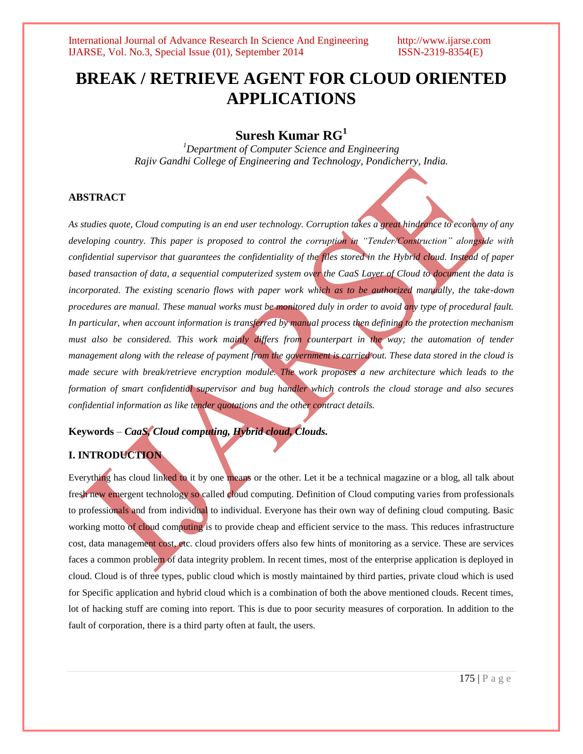# **BREAK / RETRIEVE AGENT FOR CLOUD ORIENTED APPLICATIONS**

# **Suresh Kumar RG<sup>1</sup>**

*<sup>1</sup>Department of Computer Science and Engineering Rajiv Gandhi College of Engineering and Technology, Pondicherry, India.*

# **ABSTRACT**

*As studies quote, Cloud computing is an end user technology. Corruption takes a great hindrance to economy of any developing country. This paper is proposed to control the corruption in "Tender/Construction" alongside with confidential supervisor that guarantees the confidentiality of the files stored in the Hybrid cloud. Instead of paper based transaction of data, a sequential computerized system over the CaaS Layer of Cloud to document the data is incorporated. The existing scenario flows with paper work which as to be authorized manually, the take-down procedures are manual. These manual works must be monitored duly in order to avoid any type of procedural fault. In particular, when account information is transferred by manual process then defining to the protection mechanism*  must also be considered. This work mainly differs from counterpart in the way; the automation of tender *management along with the release of payment from the government is carried out. These data stored in the cloud is made secure with break/retrieve encryption module. The work proposes a new architecture which leads to the formation of smart confidential supervisor and bug handler which controls the cloud storage and also secures confidential information as like tender quotations and the other contract details.*

**Keywords** *– CaaS, Cloud computing, Hybrid cloud, Clouds.*

# **I. INTRODUCTION**

Everything has cloud linked to it by one means or the other. Let it be a technical magazine or a blog, all talk about fresh new emergent technology so called cloud computing. Definition of Cloud computing varies from professionals to professionals and from individual to individual. Everyone has their own way of defining cloud computing. Basic working motto of cloud computing is to provide cheap and efficient service to the mass. This reduces infrastructure cost, data management cost, etc. cloud providers offers also few hints of monitoring as a service. These are services faces a common problem of data integrity problem. In recent times, most of the enterprise application is deployed in cloud. Cloud is of three types, public cloud which is mostly maintained by third parties, private cloud which is used for Specific application and hybrid cloud which is a combination of both the above mentioned clouds. Recent times, lot of hacking stuff are coming into report. This is due to poor security measures of corporation. In addition to the fault of corporation, there is a third party often at fault, the users.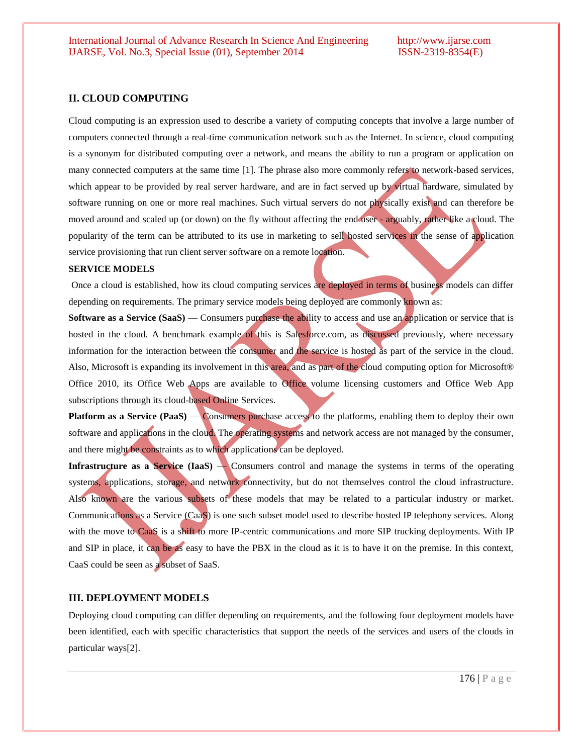#### **II. CLOUD COMPUTING**

Cloud computing is an expression used to describe a variety of computing concepts that involve a large number of computers connected through a real-time communication network such as the Internet. In science, cloud computing is a synonym for distributed computing over a network, and means the ability to run a program or application on many connected computers at the same time [1]. The phrase also more commonly refers to network-based services, which appear to be provided by real server hardware, and are in fact served up by virtual hardware, simulated by software running on one or more real machines. Such virtual servers do not physically exist and can therefore be moved around and scaled up (or down) on the fly without affecting the end user - arguably, rather like a cloud. The popularity of the term can be attributed to its use in marketing to sell hosted services in the sense of application service provisioning that run client server software on a remote location.

#### **SERVICE MODELS**

Once a cloud is established, how its cloud computing services are deployed in terms of business models can differ depending on requirements. The primary service models being deployed are commonly known as:

**Software as a Service (SaaS)** — Consumers purchase the ability to access and use an application or service that is hosted in the cloud. A benchmark example of this is Salesforce.com, as discussed previously, where necessary information for the interaction between the consumer and the service is hosted as part of the service in the cloud. Also, Microsoft is expanding its involvement in this area, and as part of the cloud computing option for Microsoft® Office 2010, its Office Web Apps are available to Office volume licensing customers and Office Web App subscriptions through its cloud-based Online Services.

**Platform as a Service (PaaS)** — Consumers purchase access to the platforms, enabling them to deploy their own software and applications in the cloud. The operating systems and network access are not managed by the consumer, and there might be constraints as to which applications can be deployed.

**Infrastructure as a Service (IaaS)** — Consumers control and manage the systems in terms of the operating systems, applications, storage, and network connectivity, but do not themselves control the cloud infrastructure. Also known are the various subsets of these models that may be related to a particular industry or market. Communications as a Service (CaaS) is one such subset model used to describe hosted IP telephony services. Along with the move to CaaS is a shift to more IP-centric communications and more SIP trucking deployments. With IP and SIP in place, it can be as easy to have the PBX in the cloud as it is to have it on the premise. In this context, CaaS could be seen as a subset of SaaS.

#### **III. DEPLOYMENT MODELS**

Deploying cloud computing can differ depending on requirements, and the following four deployment models have been identified, each with specific characteristics that support the needs of the services and users of the clouds in particular ways[2].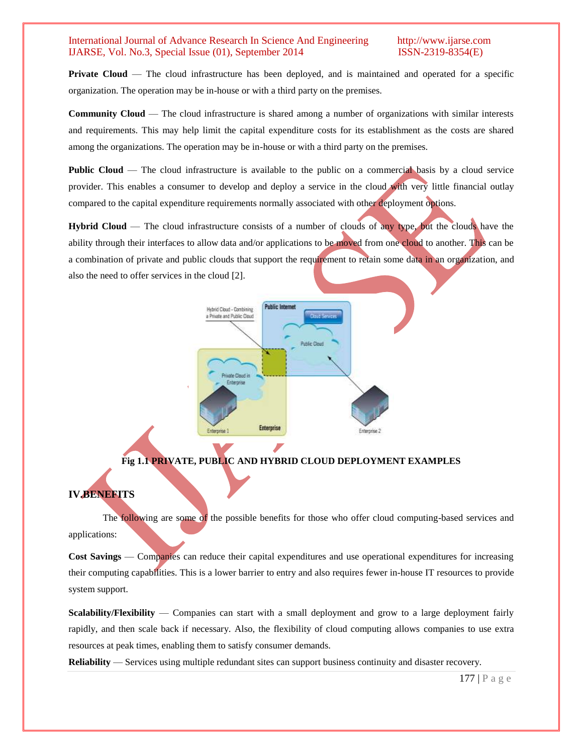**Private Cloud** — The cloud infrastructure has been deployed, and is maintained and operated for a specific organization. The operation may be in-house or with a third party on the premises.

**Community Cloud** — The cloud infrastructure is shared among a number of organizations with similar interests and requirements. This may help limit the capital expenditure costs for its establishment as the costs are shared among the organizations. The operation may be in-house or with a third party on the premises.

**Public Cloud** — The cloud infrastructure is available to the public on a commercial basis by a cloud service provider. This enables a consumer to develop and deploy a service in the cloud with very little financial outlay compared to the capital expenditure requirements normally associated with other deployment options.

**Hybrid Cloud** — The cloud infrastructure consists of a number of clouds of any type, but the clouds have the ability through their interfaces to allow data and/or applications to be moved from one cloud to another. This can be a combination of private and public clouds that support the requirement to retain some data in an organization, and also the need to offer services in the cloud [2].



# **Fig 1.1 PRIVATE, PUBLIC AND HYBRID CLOUD DEPLOYMENT EXAMPLES**

# **IV.BENEFITS**

The following are some of the possible benefits for those who offer cloud computing-based services and applications:

**Cost Savings** — Companies can reduce their capital expenditures and use operational expenditures for increasing their computing capabilities. This is a lower barrier to entry and also requires fewer in-house IT resources to provide system support.

**Scalability/Flexibility** — Companies can start with a small deployment and grow to a large deployment fairly rapidly, and then scale back if necessary. Also, the flexibility of cloud computing allows companies to use extra resources at peak times, enabling them to satisfy consumer demands.

**Reliability** — Services using multiple redundant sites can support business continuity and disaster recovery.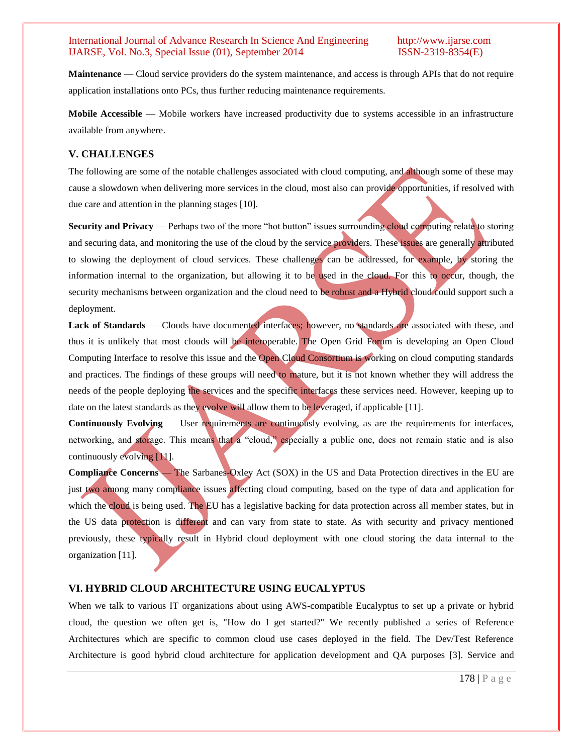**Maintenance** — Cloud service providers do the system maintenance, and access is through APIs that do not require application installations onto PCs, thus further reducing maintenance requirements.

**Mobile Accessible** — Mobile workers have increased productivity due to systems accessible in an infrastructure available from anywhere.

# **V. CHALLENGES**

The following are some of the notable challenges associated with cloud computing, and although some of these may cause a slowdown when delivering more services in the cloud, most also can provide opportunities, if resolved with due care and attention in the planning stages [10].

**Security and Privacy** — Perhaps two of the more "hot button" issues surrounding cloud computing relate to storing and securing data, and monitoring the use of the cloud by the service providers. These issues are generally attributed to slowing the deployment of cloud services. These challenges can be addressed, for example, by storing the information internal to the organization, but allowing it to be used in the cloud. For this to occur, though, the security mechanisms between organization and the cloud need to be robust and a Hybrid cloud could support such a deployment.

Lack of Standards — Clouds have documented interfaces; however, no standards are associated with these, and thus it is unlikely that most clouds will be interoperable. The Open Grid Forum is developing an Open Cloud Computing Interface to resolve this issue and the Open Cloud Consortium is working on cloud computing standards and practices. The findings of these groups will need to mature, but it is not known whether they will address the needs of the people deploying the services and the specific interfaces these services need. However, keeping up to date on the latest standards as they evolve will allow them to be leveraged, if applicable [11].

**Continuously Evolving** — User requirements are continuously evolving, as are the requirements for interfaces, networking, and storage. This means that a "cloud," especially a public one, does not remain static and is also continuously evolving [11].

**Compliance Concerns** — The Sarbanes-Oxley Act (SOX) in the US and Data Protection directives in the EU are just two among many compliance issues affecting cloud computing, based on the type of data and application for which the cloud is being used. The EU has a legislative backing for data protection across all member states, but in the US data protection is different and can vary from state to state. As with security and privacy mentioned previously, these typically result in Hybrid cloud deployment with one cloud storing the data internal to the organization [11].

# **VI. HYBRID CLOUD ARCHITECTURE USING EUCALYPTUS**

When we talk to various IT organizations about using AWS-compatible Eucalyptus to set up a private or hybrid cloud, the question we often get is, "How do I get started?" We recently published a series of Reference Architectures which are specific to common cloud use cases deployed in the field. The Dev/Test Reference Architecture is good hybrid cloud architecture for application development and QA purposes [3]. Service and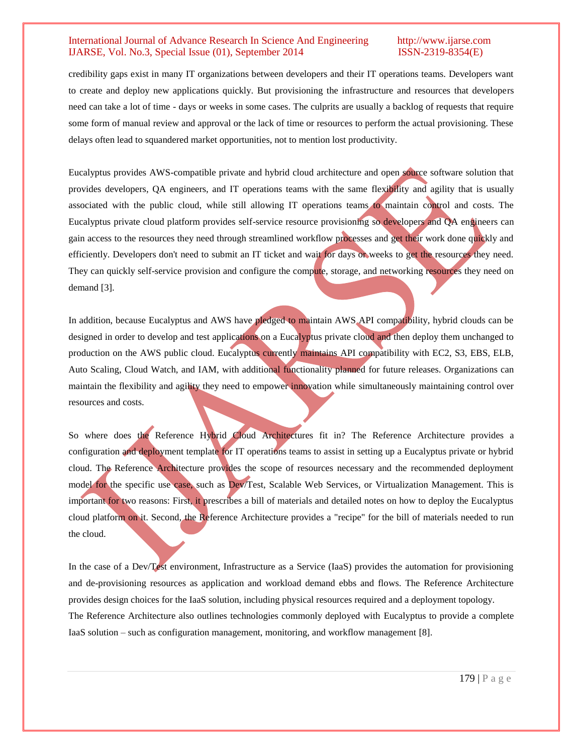credibility gaps exist in many IT organizations between developers and their IT operations teams. Developers want to create and deploy new applications quickly. But provisioning the infrastructure and resources that developers need can take a lot of time - days or weeks in some cases. The culprits are usually a backlog of requests that require some form of manual review and approval or the lack of time or resources to perform the actual provisioning. These delays often lead to squandered market opportunities, not to mention lost productivity.

Eucalyptus provides AWS-compatible private and hybrid cloud architecture and open source software solution that provides developers, QA engineers, and IT operations teams with the same flexibility and agility that is usually associated with the public cloud, while still allowing IT operations teams to maintain control and costs. The Eucalyptus private cloud platform provides self-service resource provisioning so developers and QA engineers can gain access to the resources they need through streamlined workflow processes and get their work done quickly and efficiently. Developers don't need to submit an IT ticket and wait for days or weeks to get the resources they need. They can quickly self-service provision and configure the compute, storage, and networking resources they need on demand [3].

In addition, because Eucalyptus and AWS have pledged to maintain AWS API compatibility, hybrid clouds can be designed in order to develop and test applications on a Eucalyptus private cloud and then deploy them unchanged to production on the AWS public cloud. Eucalyptus currently maintains API compatibility with EC2, S3, EBS, ELB, Auto Scaling, Cloud Watch, and IAM, with additional functionality planned for future releases. Organizations can maintain the flexibility and agility they need to empower innovation while simultaneously maintaining control over resources and costs.

So where does the Reference Hybrid Cloud Architectures fit in? The Reference Architecture provides a configuration and deployment template for IT operations teams to assist in setting up a Eucalyptus private or hybrid cloud. The Reference Architecture provides the scope of resources necessary and the recommended deployment model for the specific use case, such as Dev/Test, Scalable Web Services, or Virtualization Management. This is important for two reasons: First, it prescribes a bill of materials and detailed notes on how to deploy the Eucalyptus cloud platform on it. Second, the Reference Architecture provides a "recipe" for the bill of materials needed to run the cloud.

In the case of a Dev/Test environment, Infrastructure as a Service (IaaS) provides the automation for provisioning and de-provisioning resources as application and workload demand ebbs and flows. The Reference Architecture provides design choices for the IaaS solution, including physical resources required and a deployment topology. The Reference Architecture also outlines technologies commonly deployed with Eucalyptus to provide a complete IaaS solution – such as configuration management, monitoring, and workflow management [8].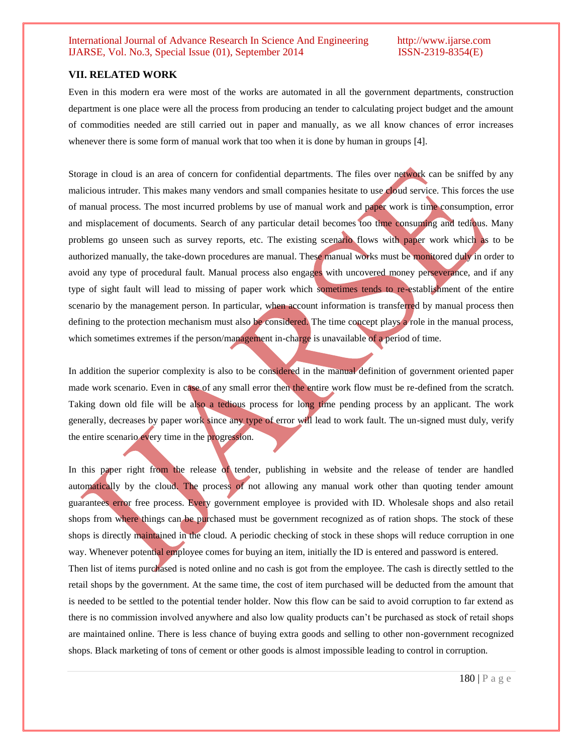#### **VII. RELATED WORK**

Even in this modern era were most of the works are automated in all the government departments, construction department is one place were all the process from producing an tender to calculating project budget and the amount of commodities needed are still carried out in paper and manually, as we all know chances of error increases whenever there is some form of manual work that too when it is done by human in groups [4].

Storage in cloud is an area of concern for confidential departments. The files over network can be sniffed by any malicious intruder. This makes many vendors and small companies hesitate to use cloud service. This forces the use of manual process. The most incurred problems by use of manual work and paper work is time consumption, error and misplacement of documents. Search of any particular detail becomes too time consuming and tedious. Many problems go unseen such as survey reports, etc. The existing scenario flows with paper work which as to be authorized manually, the take-down procedures are manual. These manual works must be monitored duly in order to avoid any type of procedural fault. Manual process also engages with uncovered money perseverance, and if any type of sight fault will lead to missing of paper work which sometimes tends to re-establishment of the entire scenario by the management person. In particular, when account information is transferred by manual process then defining to the protection mechanism must also be considered. The time concept plays a role in the manual process, which sometimes extremes if the person/management in-charge is unavailable of a period of time.

In addition the superior complexity is also to be considered in the manual definition of government oriented paper made work scenario. Even in case of any small error then the entire work flow must be re-defined from the scratch. Taking down old file will be also a tedious process for long time pending process by an applicant. The work generally, decreases by paper work since any type of error will lead to work fault. The un-signed must duly, verify the entire scenario every time in the progression.

In this paper right from the release of tender, publishing in website and the release of tender are handled automatically by the cloud. The process of not allowing any manual work other than quoting tender amount guarantees error free process. Every government employee is provided with ID. Wholesale shops and also retail shops from where things can be purchased must be government recognized as of ration shops. The stock of these shops is directly maintained in the cloud. A periodic checking of stock in these shops will reduce corruption in one way. Whenever potential employee comes for buying an item, initially the ID is entered and password is entered. Then list of items purchased is noted online and no cash is got from the employee. The cash is directly settled to the retail shops by the government. At the same time, the cost of item purchased will be deducted from the amount that is needed to be settled to the potential tender holder. Now this flow can be said to avoid corruption to far extend as there is no commission involved anywhere and also low quality products can't be purchased as stock of retail shops are maintained online. There is less chance of buying extra goods and selling to other non-government recognized shops. Black marketing of tons of cement or other goods is almost impossible leading to control in corruption.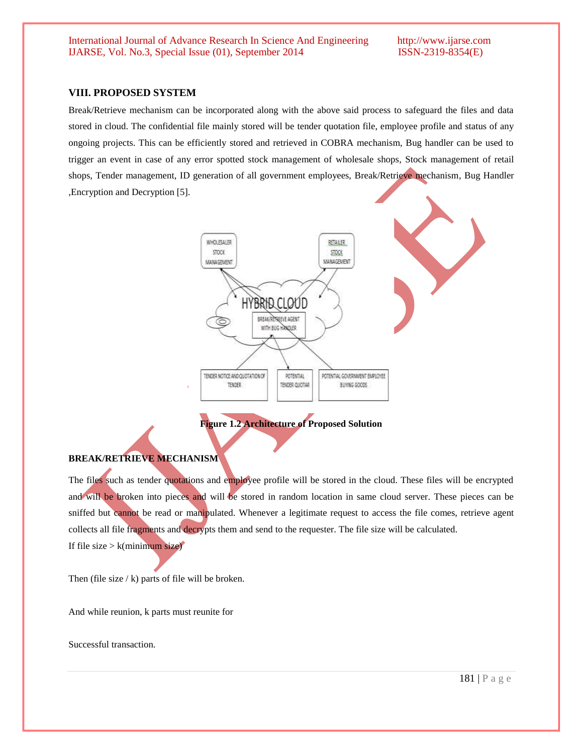### **VIII. PROPOSED SYSTEM**

Break/Retrieve mechanism can be incorporated along with the above said process to safeguard the files and data stored in cloud. The confidential file mainly stored will be tender quotation file, employee profile and status of any ongoing projects. This can be efficiently stored and retrieved in COBRA mechanism, Bug handler can be used to trigger an event in case of any error spotted stock management of wholesale shops, Stock management of retail shops, Tender management, ID generation of all government employees, Break/Retrieve mechanism, Bug Handler ,Encryption and Decryption [5].





# **BREAK/RETRIEVE MECHANISM**

The files such as tender quotations and employee profile will be stored in the cloud. These files will be encrypted and will be broken into pieces and will be stored in random location in same cloud server. These pieces can be sniffed but cannot be read or manipulated. Whenever a legitimate request to access the file comes, retrieve agent collects all file fragments and decrypts them and send to the requester. The file size will be calculated. If file size  $> k$ (minimum size)

Then (file size  $/k$ ) parts of file will be broken.

And while reunion, k parts must reunite for

Successful transaction.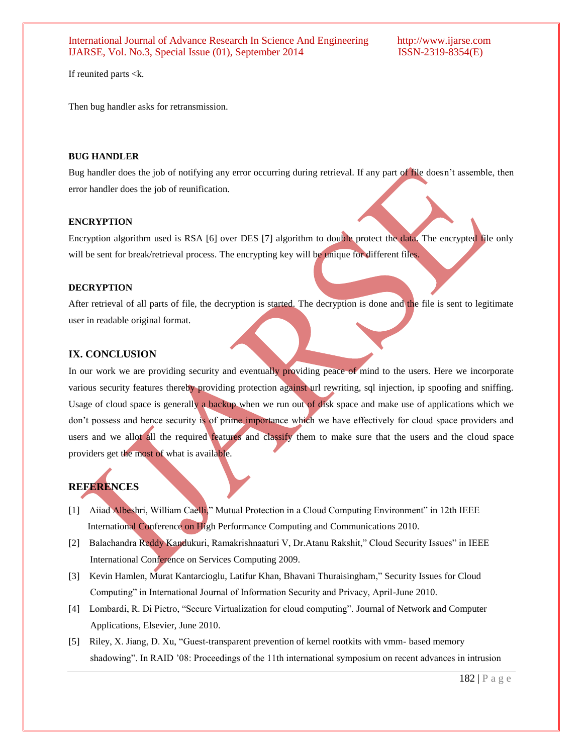If reunited parts <k.

Then bug handler asks for retransmission.

#### **BUG HANDLER**

Bug handler does the job of notifying any error occurring during retrieval. If any part of file doesn't assemble, then error handler does the job of reunification.

#### **ENCRYPTION**

Encryption algorithm used is RSA [6] over DES [7] algorithm to double protect the data. The encrypted file only will be sent for break/retrieval process. The encrypting key will be unique for different files.

### **DECRYPTION**

After retrieval of all parts of file, the decryption is started. The decryption is done and the file is sent to legitimate user in readable original format.

#### **IX. CONCLUSION**

In our work we are providing security and eventually providing peace of mind to the users. Here we incorporate various security features thereby providing protection against url rewriting, sql injection, ip spoofing and sniffing. Usage of cloud space is generally a backup when we run out of disk space and make use of applications which we don't possess and hence security is of prime importance which we have effectively for cloud space providers and users and we allot all the required features and classify them to make sure that the users and the cloud space providers get the most of what is available.

# **REFERENCES**

- [1] Aiiad Albeshri, William Caelli," Mutual Protection in a Cloud Computing Environment" in 12th IEEE International Conference on High Performance Computing and Communications 2010.
- [2] Balachandra Reddy Kandukuri, Ramakrishnaaturi V, Dr.Atanu Rakshit," Cloud Security Issues" in IEEE International Conference on Services Computing 2009.
- [3] Kevin Hamlen, Murat Kantarcioglu, Latifur Khan, Bhavani Thuraisingham," Security Issues for Cloud Computing" in International Journal of Information Security and Privacy, April-June 2010.
- [4] Lombardi, R. Di Pietro, "Secure Virtualization for cloud computing". Journal of Network and Computer Applications, Elsevier, June 2010.
- [5] Riley, X. Jiang, D. Xu, "Guest-transparent prevention of kernel rootkits with vmm- based memory shadowing". In RAID '08: Proceedings of the 11th international symposium on recent advances in intrusion